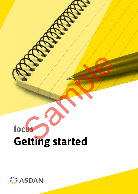# **focus Getting started** Sample of the Contract of the Contract of the Contract of the Contract of the Contract of the Contract of the Contract of the Contract of the Contract of the Contract of the Contract of the Contract of the Contract of the

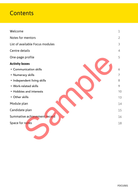## **Contents**

| Welcome                         | $\mathbf 1$    |
|---------------------------------|----------------|
| Notes for mentors               | $\overline{2}$ |
| List of available Focus modules | 3              |
| Centre details                  | $\overline{4}$ |
| One-page profile                | 5              |
| <b>Activity boxes</b>           |                |
| • Communication skills          | 6              |
| • Numeracy skills               | 7              |
| · Independent living skills     | 8              |
| • Work-related skills           | 9              |
| • Hobbies and interests         | 10             |
| • Other skills                  | 13             |
| Module plan                     | 14             |
| Candidate plan                  | 15             |
| Summative achievement record    | 16             |
| Space for notes                 | 18             |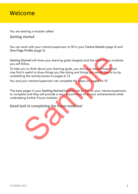### Welcome

You are starting a module called

#### **Getting started**

You can work with your mentor/supervisor to fill in your Centre Details (page 4) and One-Page Profile (page 5).

Getting Started will show your learning goals (targets) and the other Focus modules you will follow.

To help you to think about your learning goals, you and your mentor/supervisor may find it useful to show things you like doing and things you would like to try by completing the activity boxes on pages 6-13. Started will show your learning goals (targets) and the other Focus mollow.<br>
Sollow.<br>
Sollow.<br>
Sollow.<br>
Sollow to think about your learning goals, you and your mentor/supervisit<br>
tis useful to show things you like doing an

You and your mentor/supervisor can complete the plans on pages 14-15.

The back pages in your Getting Started booklet are for you or your mentor/supervisor to complete and they will provide a record (summary) of all your achievements while undertaking further Focus modules.

**Good luck in completing the Focus modules!**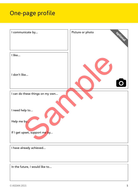# One-page profile

| I communicate by                | Picture or photo<br>Optional |
|---------------------------------|------------------------------|
| I like                          |                              |
| I don't like                    |                              |
| I can do these things on my own |                              |
|                                 |                              |
| I need help to                  |                              |
| Help me by                      |                              |
| If I get upset, support me by   |                              |
| I have already achieved         |                              |
|                                 |                              |
| In the future, I would like to  |                              |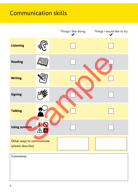# Communication skills

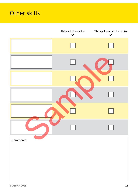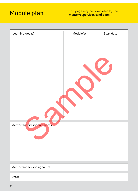# Module plan

| Learning goal(s)             | Module(s) | Start date |
|------------------------------|-----------|------------|
| Mentor/supervisor comments:  |           |            |
|                              |           |            |
| Mentor/supervisor signature: |           |            |
| Date:                        |           |            |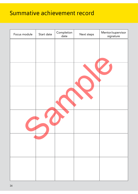## Summative achievement record

| Focus module | Start date | Completion<br>$date$ | Next steps | Mentor/supervisor<br>signature |
|--------------|------------|----------------------|------------|--------------------------------|
|              |            |                      |            |                                |
|              |            |                      |            |                                |
|              |            |                      |            |                                |
|              |            |                      |            |                                |
|              |            |                      |            |                                |
|              |            |                      |            |                                |
|              |            |                      |            |                                |
|              |            |                      |            |                                |